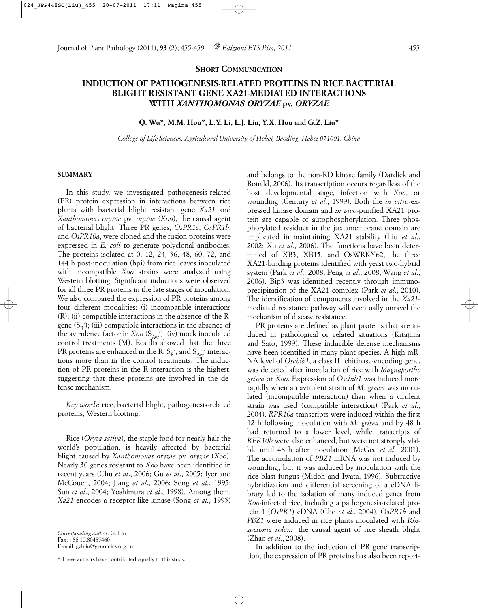## **SHORT COMMUNICATION**

# **INDUCTION OF PATHOGENESIS-RELATED PROTEINS IN RICE BACTERIAL BLIGHT RESISTANT GENE XA21-MEDIATED INTERACTIONS WITH** *XANTHOMONAS ORYZAE* **pv.** *ORYZAE*

#### **Q. Wu\*, M.M. Hou\*, L.Y. Li, L.J. Liu, Y.X. Hou and G.Z. Liu\***

*College of Life Sciences, Agricultural University of Hebei, Baoding, Hebei 071001, China*

### **SUMMARY**

In this study, we investigated pathogenesis-related (PR) protein expression in interactions between rice plants with bacterial blight resistant gene *Xa21* and *Xanthomonas oryzae* pv*. oryzae* (*Xoo*), the causal agent of bacterial blight. Three PR genes, *OsPR1a*, *OsPR1b*, and *OsPR10a*, were cloned and the fusion proteins were expressed in *E. coli* to generate polyclonal antibodies. The proteins isolated at 0, 12, 24, 36, 48, 60, 72, and 144 h post-inoculation (hpi) from rice leaves inoculated with incompatible *Xoo* strains were analyzed using Western blotting. Significant inductions were observed for all three PR proteins in the late stages of inoculation. We also compared the expression of PR proteins among four different modalities: (i) incompatible interactions (R); (ii) compatible interactions in the absence of the Rgene  $(S_R)$ ; (iii) compatible interactions in the absence of the avirulence factor in *Xoo* (S<sub>Avr</sub>); (iv) mock inoculated control treatments (M). Results showed that the three PR proteins are enhanced in the R,  $S_R$  , and  $S_{A\!y\!r}$  interactions more than in the control treatments. The induction of PR proteins in the R interaction is the highest, suggesting that these proteins are involved in the defense mechanism.

*Key words*: rice, bacterial blight, pathogenesis-related proteins, Western blotting.

Rice (*Oryza sativa*), the staple food for nearly half the world's population, is heavily affected by bacterial blight caused by *Xanthomonas oryzae* pv. *oryzae* (*Xoo*). Nearly 30 genes resistant to *Xoo* have been identified in recent years (Chu *et al*., 2006; Gu *et al*., 2005; Iyer and McCouch, 2004; Jiang *et al*., 2006; Song *et al*., 1995; Sun *et al*., 2004; Yoshimura *et al*., 1998). Among them, *Xa21* encodes a receptor-like kinase (Song *et al.*, 1995)

*Corresponding author*: G. Liu Fax: +86.10.80485460

E-mail: gzhliu@genomics.org.cn

and belongs to the non-RD kinase family (Dardick and Ronald, 2006). Its transcription occurs regardless of the host developmental stage, infection with *Xoo*, or wounding (Century *et al*., 1999). Both the *in vitro*-expressed kinase domain and *in vivo*-purified XA21 protein are capable of autophosphorylation. Three phosphorylated residues in the juxtamembrane domain are implicated in maintaining XA21 stability (Liu *et al*., 2002; Xu *et al*., 2006). The functions have been determined of XB3, XB15, and OsWRKY62, the three XA21-binding proteins identified with yeast two-hybrid system (Park *et al*., 2008; Peng *et al*., 2008; Wang *et al*., 2006). Bip3 was identified recently through immunoprecipitation of the XA21 complex (Park *et al*., 2010). The identification of components involved in the *Xa21* mediated resistance pathway will eventually unravel the mechanism of disease resistance.

PR proteins are defined as plant proteins that are induced in pathological or related situations (Kitajima and Sato, 1999). These inducible defense mechanisms have been identified in many plant species. A high mR-NA level of *Oschib1*, a class III chitinase-encoding gene, was detected after inoculation of rice with *Magnaporthe grisea* or *Xoo*. Expression of *Oschib1* was induced more rapidly when an avirulent strain of *M. grisea* was inoculated (incompatible interaction) than when a virulent strain was used (compatible interaction) (Park *et al*., 2004). *RPR10a* transcripts were induced within the first 12 h following inoculation with *M. grisea* and by 48 h had returned to a lower level, while transcripts of *RPR10b* were also enhanced, but were not strongly visible until 48 h after inoculation (McGee *et al*., 2001). The accumulation of *PBZ1* mRNA was not induced by wounding, but it was induced by inoculation with the rice blast fungus (Midoh and Iwata, 1996). Subtractive hybridization and differential screening of a cDNA library led to the isolation of many induced genes from *Xoo-*infected rice, including a pathogenesis-related protein 1 (*OsPR1*) cDNA (Cho *et al*., 2004). Os*PR1b* and *PBZ1* were induced in rice plants inoculated with *Rhizoctonia solani*, the causal agent of rice sheath blight (Zhao *et al*., 2008).

In addition to the induction of PR gene transcription, the expression of PR proteins has also been report-

<sup>\*</sup> These authors have contributed equally to this study.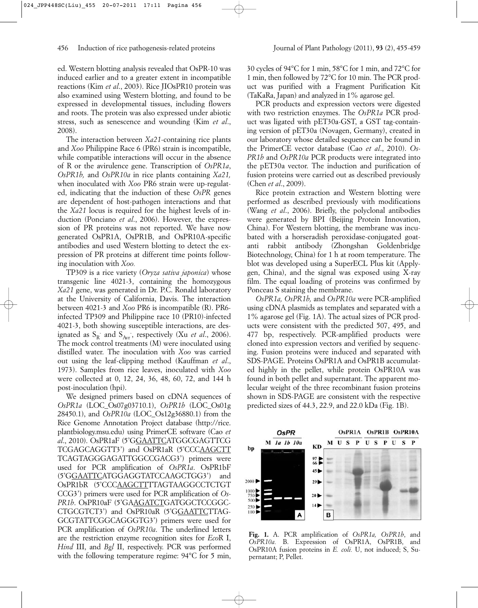ed. Western blotting analysis revealed that OsPR-10 was induced earlier and to a greater extent in incompatible reactions (Kim *et al*., 2003). Rice JIOsPR10 protein was also examined using Western blotting, and found to be expressed in developmental tissues, including flowers and roots. The protein was also expressed under abiotic stress, such as senescence and wounding (Kim *et al*., 2008).

The interaction between *Xa21*-containing rice plants and *Xoo* Philippine Race 6 (PR6) strain is incompatible, while compatible interactions will occur in the absence of R or the avirulence gene. Transcription of *OsPR1a*, *OsPR1b,* and *OsPR10a* in rice plants containing *Xa21,* when inoculated with *Xoo* PR6 strain were up-regulated, indicating that the induction of these *OsPR* genes are dependent of host-pathogen interactions and that the *Xa21* locus is required for the highest levels of induction (Ponciano *et al*., 2006). However, the expression of PR proteins was not reported. We have now generated OsPR1A, OsPR1B, and OsPR10A-specific antibodies and used Western blotting to detect the expression of PR proteins at different time points following inoculation with *Xoo.*

TP309 is a rice variety (*Oryza sativa japonica*) whose transgenic line 4021-3, containing the homozygous *Xa21* gene, was generated in Dr. P.C. Ronald laboratory at the University of California, Davis. The interaction between 4021-3 and *Xoo* PR6 is incompatible (R). PR6 infected TP309 and Philippine race 10 (PR10)-infected 4021-3, both showing susceptible interactions, are designated as  $S_R$  and  $S_{Avr}$ , respectively (Xu *et al.*, 2006). The mock control treatments (M) were inoculated using distilled water. The inoculation with *Xoo* was carried out using the leaf-clipping method (Kauffman *et al*., 1973). Samples from rice leaves, inoculated with *Xoo* were collected at 0, 12, 24, 36, 48, 60, 72, and 144 h post-inoculation (hpi).

We designed primers based on cDNA sequences of *OsPR1a* (LOC\_Os07g03710.1), *OsPR1b* (LOC\_Os01g 28450.1), and *OsPR10a* (LOC\_Os12g36880.1) from the Rice Genome Annotation Project database (http://rice. plantbiology.msu.edu) using PrimerCE software (Cao *et al*., 2010). OsPR1aF (5'GGAATTCATGGCGAGTTCG TCGAGCAGGTT3') and OsPR1aR (5'CCCAAGCTT TCAGTAGGGAGATTGGCCGACG3') primers were used for PCR amplification of *OsPR1a*. OsPR1bF (5'GGAATTCATGGAGGTATCCAAGCTGG3') and OsPR1bR (5'CCCAAGCTTTTAGTAAGGCCTCTGT CCG3') primers were used for PCR amplification of *Os-*PR1b. OsPR10aF (5'GAAGATCTGATGGCTCCGGC-CTGCGTCT3') and OsPR10aR (5'GGAATTCTTAG-GCGTATTCGGCAGGGTG3') primers were used for PCR amplification of *OsPR10a*. The underlined letters are the restriction enzyme recognition sites for *Eco*R I, *Hind* III, and *Bgl* II, respectively. PCR was performed with the following temperature regime: 94°C for 5 min, 30 cycles of 94°C for 1 min, 58°C for 1 min, and 72°C for 1 min, then followed by 72°C for 10 min. The PCR product was purified with a Fragment Purification Kit (TaKaRa, Japan) and analyzed in 1% agarose gel.

PCR products and expression vectors were digested with two restriction enzymes. The *OsPR1a* PCR product was ligated with pET30a-GST, a GST tag-containing version of pET30a (Novagen, Germany), created in our laboratory whose detailed sequence can be found in the PrimerCE vector database (Cao *et al*., 2010). *Os-PR1b* and *OsPR10a* PCR products were integrated into the pET30a vector. The induction and purification of fusion proteins were carried out as described previously (Chen *et al*., 2009).

Rice protein extraction and Western blotting were performed as described previously with modifications (Wang *et al*., 2006). Briefly, the polyclonal antibodies were generated by BPI (Beijing Protein Innovation, China). For Western blotting, the membrane was incubated with a horseradish peroxidase-conjugated goatanti rabbit antibody (Zhongshan Goldenbridge Biotechnology, China) for 1 h at room temperature. The blot was developed using a SuperECL Plus kit (Applygen, China), and the signal was exposed using X-ray film. The equal loading of proteins was confirmed by Ponceau S staining the membrane.

*OsPR1a, OsPR1b,* and *OsPR10a* were PCR-amplified using cDNA plasmids as templates and separated with a 1% agarose gel (Fig. 1A). The actual sizes of PCR products were consistent with the predicted 507, 495, and 477 bp, respectively. PCR-amplified products were cloned into expression vectors and verified by sequencing. Fusion proteins were induced and separated with SDS-PAGE. Proteins OsPR1A and OsPR1B accumulated highly in the pellet, while protein OsPR10A was found in both pellet and supernatant. The apparent molecular weight of the three recombinant fusion proteins shown in SDS-PAGE are consistent with the respective predicted sizes of 44.3, 22.9, and 22.0 kDa (Fig. 1B).



**Fig. 1.** A. PCR amplification of *OsPR1a, OsPR1b*, and *OsPR10a.* B. Expression of OsPR1A, OsPR1B, and OsPR10A fusion proteins in *E. coli.* U, not induced; S, Supernatant; P, Pellet.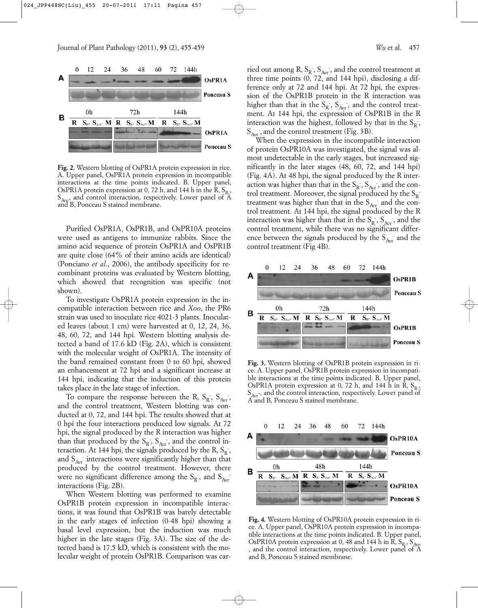

**Fig. 2.** Western blotting of OsPR1A protein expression in rice. A. Upper panel, OsPR1A protein expression in incompatible interactions at the time points indicated. B. Upper panel, OsPR1A protein expression at 0, 72 h, and 144 h in the  $\hat{R}$ ,  $S_{R}$ ,  $S_{Avr}$ , and control interaction, respectively. Lower panel of  $\widetilde{A}$ and B, Ponceau S stained membrane.

Purified OsPR1A, OsPR1B, and OsPR10A proteins were used as antigens to immunize rabbits. Since the amino acid sequence of protein OsPR1A and OsPR1B are quite close (64% of their amino acids are identical) (Ponciano *et al*., 2006), the antibody specificity for recombinant proteins was evaluated by Western blotting, which showed that recognition was specific (not shown).

To investigate OsPR1A protein expression in the incompatible interaction between rice and *Xoo*, the PR6 strain was used to inoculate rice 4021-3 plants. Inoculated leaves (about 1 cm) were harvested at 0, 12, 24, 36, 48, 60, 72, and 144 hpi. Western blotting analysis detected a band of 17.6 kD (Fig. 2A), which is consistent with the molecular weight of OsPR1A. The intensity of the band remained constant from 0 to 60 hpi, showed an enhancement at 72 hpi and a significant increase at 144 hpi, indicating that the induction of this protein takes place in the late stage of infection.

To compare the response between the R,  $S_R$ ,  $S_{Avr}$ , and the control treatment, Western blotting was conducted at 0, 72, and 144 hpi. The results showed that at 0 hpi the four interactions produced low signals. At 72 hpi, the signal produced by the R interaction was higher than that produced by the  $S_R$ ,  $S_{Avr}$ , and the control interaction. At 144 hpi, the signals produced by the R,  $S_R$ , and  $S_{Avr}$  interactions were significantly higher than that produced by the control treatment. However, there were no significant difference among the  $S_R$ , and  $S_{Avr}$ interactions (Fig. 2B).

When Western blotting was performed to examine OsPR1B protein expression in incompatible interactions, it was found that OsPR1B was barely detectable in the early stages of infection (0-48 hpi) showing a basal level expression, but the induction was much higher in the late stages (Fig. 3A). The size of the detected band is 17.5 kD, which is consistent with the molecular weight of protein OsPR1B. Comparison was car-

ried out among R,  $S_R$ ,  $S_{Avr}$ , and the control treatment at three time points (0, 72, and 144 hpi), disclosing a difference only at 72 and 144 hpi. At 72 hpi, the expression of the OsPR1B protein in the R interaction was higher than that in the  $S_R$ ,  $S_{Avr}$ , and the control treatment. At 144 hpi, the expression of OsPR1B in the R interaction was the highest, followed by that in the  $S_R$ ,  $S_{Avr}$ , and the control treatment (Fig. 3B).

When the expression in the incompatible interaction of protein OsPR10A was investigated, the signal was almost undetectable in the early stages, but increased significantly in the later stages (48, 60, 72, and 144 hpi) (Fig. 4A). At 48 hpi, the signal produced by the R interaction was higher than that in the  $S_R$ ,  $S_{Ayr}$ , and the control treatment. Moreover, the signal produced by the  $S_R$ treatment was higher than that in the  $S_{Avr}$  and the control treatment. At 144 hpi, the signal produced by the R interaction was higher than that in the  $S_R$ ,  $S_{Avr}$ , and the control treatment, while there was no significant difference between the signals produced by the  $S_{Avr}$  and the control treatment (Fig 4B).



**Fig. 3.** Western blotting of OsPR1B protein expression in rice. A. Upper panel, OsPR1B protein expression in incompatible interactions at the time points indicated. B. Upper panel, OsPR1A protein expression at 0, 72 h, and 144 h in R,  $S_R$ ,  $S_{Avr}$ , and the control interaction, respectively. Lower panel of A and B, Ponceau S stained membrane.



**Fig. 4.** Western blotting of OsPR10A protein expression in rice. A. Upper panel, OsPR10A protein expression in incompatible interactions at the time points indicated. B. Upper panel, OsPR10A protein expression at 0, 48 and 144 h in R,  $S_{R_2}$ ,  $S_{A_{V_r}}$ , and the control interaction, respectively. Lower panel of A and B, Ponceau S stained membrane.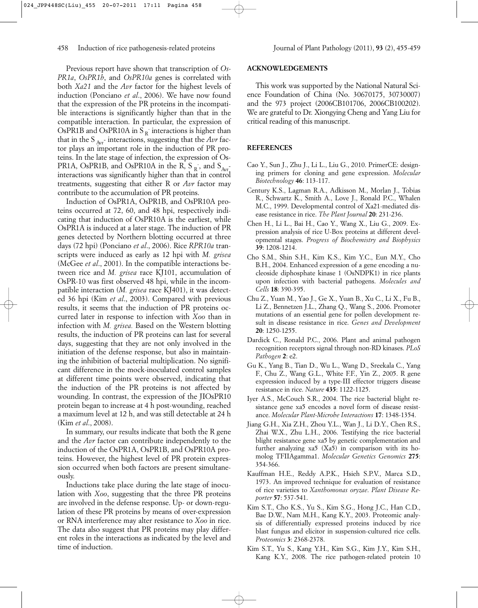Previous report have shown that transcription of *Os-PR1a*, *OsPR1b*, and *OsPR10a* genes is correlated with both *Xa21* and the *Avr* factor for the highest levels of induction (Ponciano *et al*., 2006). We have now found that the expression of the PR proteins in the incompatible interactions is significantly higher than that in the compatible interaction. In particular, the expression of OsPR1B and OsPR10A in  $S_R$  interactions is higher than that in the S  $_{\text{Avr}}$  interactions, suggesting that the *Avr* factor plays an important role in the induction of PR proteins. In the late stage of infection, the expression of Os-PR1A, OsPR1B, and OsPR10A in the R,  $S_R$ , and  $S_{Avr}$ . interactions was significantly higher than that in control treatments, suggesting that either R or *Avr* factor may contribute to the accumulation of PR proteins.

Induction of OsPR1A, OsPR1B, and OsPR10A proteins occurred at 72, 60, and 48 hpi, respectively indicating that induction of OsPR10A is the earliest, while OsPR1A is induced at a later stage. The induction of PR genes detected by Northern blotting occurred at three days (72 hpi) (Ponciano *et al*., 2006). Rice *RPR10a* transcripts were induced as early as 12 hpi with *M. grisea* (McGee *et al*., 2001). In the compatible interactions between rice and *M. grisea* race KJ101, accumulation of OsPR-10 was first observed 48 hpi, while in the incompatible interaction (*M. grisea* race KJ401), it was detected 36 hpi (Kim *et al*., 2003). Compared with previous results, it seems that the induction of PR proteins occurred later in response to infection with *Xoo* than in infection with *M. grisea.* Based on the Western blotting results, the induction of PR proteins can last for several days, suggesting that they are not only involved in the initiation of the defense response, but also in maintaining the inhibition of bacterial multiplication. No significant difference in the mock-inoculated control samples at different time points were observed, indicating that the induction of the PR proteins is not affected by wounding. In contrast, the expression of the JIOsPR10 protein began to increase at 4 h post-wounding, reached a maximum level at 12 h, and was still detectable at 24 h (Kim *et al*., 2008).

In summary, our results indicate that both the R gene and the *Avr* factor can contribute independently to the induction of the OsPR1A, OsPR1B, and OsPR10A proteins. However, the highest level of PR protein expression occurred when both factors are present simultaneously.

Inductions take place during the late stage of inoculation with *Xoo*, suggesting that the three PR proteins are involved in the defense response. Up- or down-regulation of these PR proteins by means of over-expression or RNA interference may alter resistance to *Xoo* in rice. The data also suggest that PR proteins may play different roles in the interactions as indicated by the level and time of induction.

## **ACKNOWLEDGEMENTS**

This work was supported by the National Natural Science Foundation of China (No. 30670175, 30730007) and the 973 project (2006CB101706, 2006CB100202). We are grateful to Dr. Xiongying Cheng and Yang Liu for critical reading of this manuscript.

### **REFERENCES**

- Cao Y., Sun J., Zhu J., Li L., Liu G., 2010. PrimerCE: designing primers for cloning and gene expression. *Molecular Biotechnology* **46**: 113-117.
- Century K.S., Lagman R.A., Adkisson M., Morlan J., Tobias R., Schwartz K., Smith A., Love J., Ronald P.C., Whalen M.C., 1999. Developmental control of Xa21-mediated disease resistance in rice. *The Plant Journal* **20**: 231-236.
- Chen H., Li L., Bai H., Cao Y., Wang X., Liu G., 2009. Expression analysis of rice U-Box proteins at different developmental stages. *Progress of Biochemistry and Biophysics* **39**: 1208-1214.
- Cho S.M., Shin S.H., Kim K.S., Kim Y.C., Eun M.Y., Cho B.H., 2004. Enhanced expression of a gene encoding a nucleoside diphosphate kinase 1 (OsNDPK1) in rice plants upon infection with bacterial pathogens. *Molecules and Cells* **18**: 390-395.
- Chu Z., Yuan M., Yao J., Ge X., Yuan B., Xu C., Li X., Fu B., Li Z., Bennetzen J.L., Zhang Q., Wang S., 2006. Promoter mutations of an essential gene for pollen development result in disease resistance in rice. *Genes and Development* **20**: 1250-1255.
- Dardick C., Ronald P.C., 2006. Plant and animal pathogen recognition receptors signal through non-RD kinases. *PLoS Pathogen* **2**: e2.
- Gu K., Yang B., Tian D., Wu L., Wang D., Sreekala C., Yang F., Chu Z., Wang G.L., White F.F., Yin Z., 2005. R gene expression induced by a type-III effector triggers disease resistance in rice. *Nature* **435**: 1122-1125.
- Iyer A.S., McCouch S.R., 2004. The rice bacterial blight resistance gene xa5 encodes a novel form of disease resistance. *Molecular Plant-Microbe Interactions* **17**: 1348-1354.
- Jiang G.H., Xia Z.H., Zhou Y.L., Wan J., Li D.Y., Chen R.S., Zhai W.X., Zhu L.H., 2006. Testifying the rice bacterial blight resistance gene xa5 by genetic complementation and further analyzing  $xa5$  (X $a5$ ) in comparison with its homolog TFIIAgamma1. *Molecular Genetics Genomics* **275**: 354-366.
- Kauffman H.E., Reddy A.P.K., Hsieh S.P.V., Marca S.D., 1973. An improved technique for evaluation of resistance of rice varieties to *Xanthomonas oryzae*. *Plant Disease Reporter* **57**: 537-541.
- Kim S.T., Cho K.S., Yu S., Kim S.G., Hong J.C., Han C.D., Bae D.W., Nam M.H., Kang K.Y., 2003. Proteomic analysis of differentially expressed proteins induced by rice blast fungus and elicitor in suspension-cultured rice cells. *Proteomics* **3**: 2368-2378.
- Kim S.T., Yu S., Kang Y.H., Kim S.G., Kim J.Y., Kim S.H., Kang K.Y., 2008. The rice pathogen-related protein 10